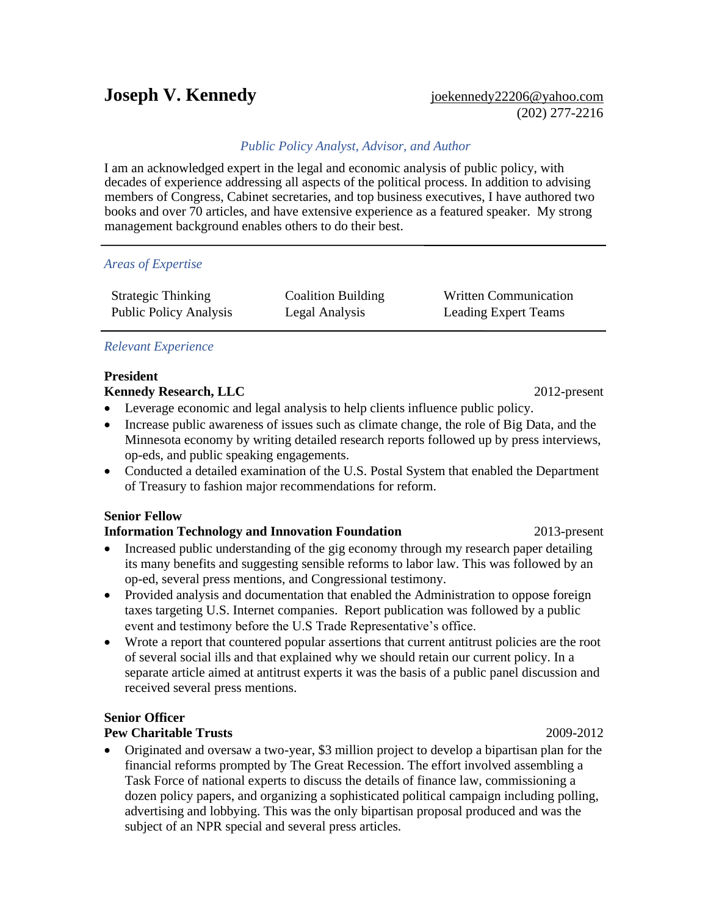## *Public Policy Analyst, Advisor, and Author*

I am an acknowledged expert in the legal and economic analysis of public policy, with decades of experience addressing all aspects of the political process. In addition to advising members of Congress, Cabinet secretaries, and top business executives, I have authored two books and over 70 articles, and have extensive experience as a featured speaker. My strong management background enables others to do their best.

#### *Areas of Expertise*

| <b>Strategic Thinking</b>     | <b>Coalition Building</b> | Written Communication |
|-------------------------------|---------------------------|-----------------------|
| <b>Public Policy Analysis</b> | Legal Analysis            | Leading Expert Teams  |

## *Relevant Experience*

#### **President Kennedy Research, LLC** 2012-present

- Leverage economic and legal analysis to help clients influence public policy.
- Increase public awareness of issues such as climate change, the role of Big Data, and the Minnesota economy by writing detailed research reports followed up by press interviews, op-eds, and public speaking engagements.
- Conducted a detailed examination of the U.S. Postal System that enabled the Department of Treasury to fashion major recommendations for reform.

## **Senior Fellow**

## **Information Technology and Innovation Foundation** 2013-present

- Increased public understanding of the gig economy through my research paper detailing its many benefits and suggesting sensible reforms to labor law. This was followed by an op-ed, several press mentions, and Congressional testimony.
- Provided analysis and documentation that enabled the Administration to oppose foreign taxes targeting U.S. Internet companies. Report publication was followed by a public event and testimony before the U.S Trade Representative's office.
- Wrote a report that countered popular assertions that current antitrust policies are the root of several social ills and that explained why we should retain our current policy. In a separate article aimed at antitrust experts it was the basis of a public panel discussion and received several press mentions.

## **Senior Officer**

## **Pew Charitable Trusts** 2009-2012

• Originated and oversaw a two-year, \$3 million project to develop a bipartisan plan for the financial reforms prompted by The Great Recession. The effort involved assembling a Task Force of national experts to discuss the details of finance law, commissioning a dozen policy papers, and organizing a sophisticated political campaign including polling, advertising and lobbying. This was the only bipartisan proposal produced and was the subject of an NPR special and several press articles.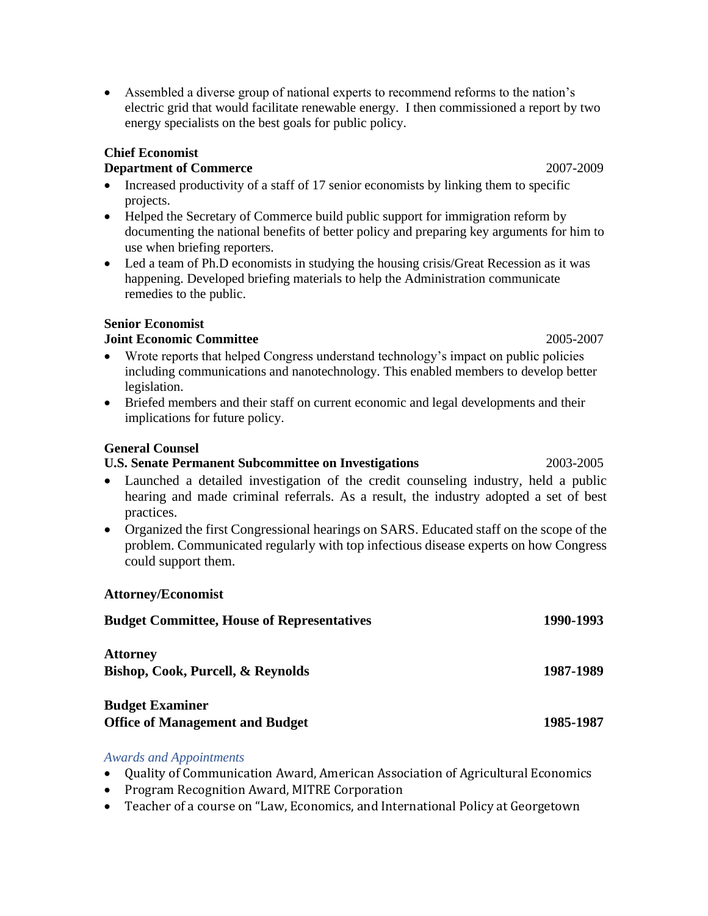• Assembled a diverse group of national experts to recommend reforms to the nation's electric grid that would facilitate renewable energy. I then commissioned a report by two energy specialists on the best goals for public policy.

# **Chief Economist**

## **Department of Commerce** 2007-2009

- Increased productivity of a staff of 17 senior economists by linking them to specific projects.
- Helped the Secretary of Commerce build public support for immigration reform by documenting the national benefits of better policy and preparing key arguments for him to use when briefing reporters.
- Led a team of Ph.D economists in studying the housing crisis/Great Recession as it was happening. Developed briefing materials to help the Administration communicate remedies to the public.

## **Senior Economist**

## **Joint Economic Committee** 2005-2007

- Wrote reports that helped Congress understand technology's impact on public policies including communications and nanotechnology. This enabled members to develop better legislation.
- Briefed members and their staff on current economic and legal developments and their implications for future policy.

## **General Counsel**

## **U.S. Senate Permanent Subcommittee on Investigations** 2003-2005

- Launched a detailed investigation of the credit counseling industry, held a public hearing and made criminal referrals. As a result, the industry adopted a set of best practices.
- Organized the first Congressional hearings on SARS. Educated staff on the scope of the problem. Communicated regularly with top infectious disease experts on how Congress could support them.

## **Attorney/Economist**

| <b>Budget Committee, House of Representatives</b>                | 1990-1993 |
|------------------------------------------------------------------|-----------|
| <b>Attorney</b><br>Bishop, Cook, Purcell, & Reynolds             | 1987-1989 |
| <b>Budget Examiner</b><br><b>Office of Management and Budget</b> | 1985-1987 |

## *Awards and Appointments*

- Quality of Communication Award, American Association of Agricultural Economics
- Program Recognition Award, MITRE Corporation
- Teacher of a course on "Law, Economics, and International Policy at Georgetown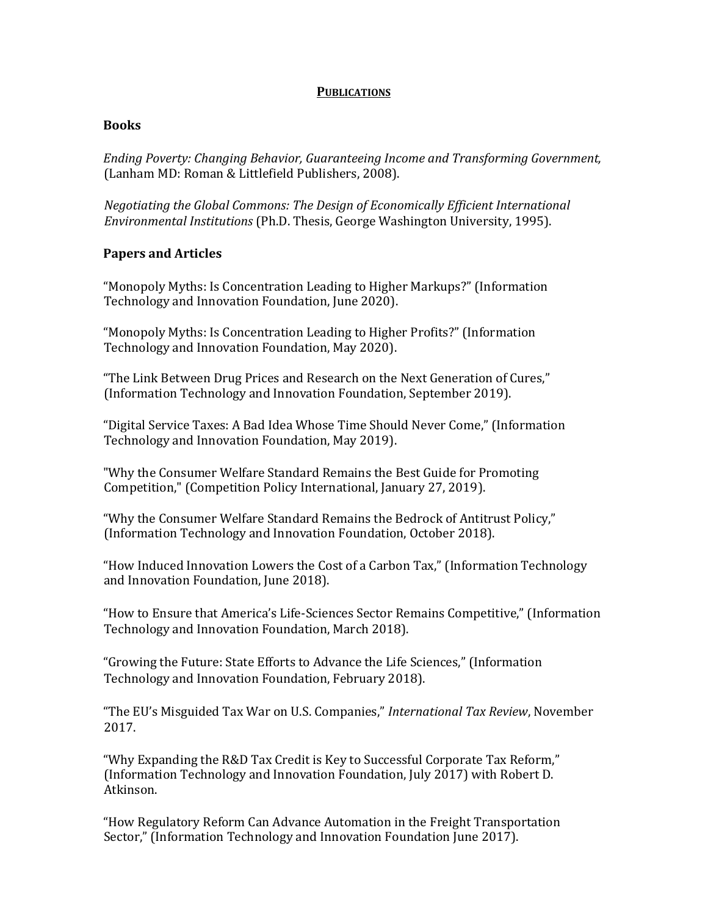#### **PUBLICATIONS**

#### **Books**

*Ending Poverty: Changing Behavior, Guaranteeing Income and Transforming Government,*  (Lanham MD: Roman & Littlefield Publishers, 2008).

*[Negotiating the Global Commons: The Design of Economically Efficient International](http://www.kennedyresearchllc.com/wp-content/uploads/2012/11/Negotiating-the-Global-Commons1.pdf)  [Environmental](http://www.kennedyresearchllc.com/wp-content/uploads/2012/11/Negotiating-the-Global-Commons1.pdf) [Institutions](http://www.kennedyresearchllc.com/wp-content/uploads/2012/11/Negotiating-the-Global-Commons1.pdf)* [\(Ph.D. Thesis, George Washington University, 1995\).](http://www.kennedyresearchllc.com/wp-content/uploads/2012/11/Negotiating-the-Global-Commons1.pdf)

#### **Papers and Articles**

"Monopoly Myths: Is Concentration Leading to Higher Markups?" (Information Technology and Innovation Foundation, June 2020).

"Monopoly Myths: Is Concentration Leading to Higher Profits?" (Information Technology and Innovation Foundation, May 2020).

"The Link Between Drug Prices and Research on the Next Generation of Cures," (Information Technology and Innovation Foundation, September 2019).

"Digital Service Taxes: A Bad Idea Whose Time Should Never Come," (Information Technology and Innovation Foundation, May 2019).

"Why the Consumer Welfare Standard Remains the Best Guide for Promoting Competition," (Competition Policy International, January 27, 2019).

"Why the Consumer Welfare Standard Remains the Bedrock of Antitrust Policy," (Information Technology and Innovation Foundation, October 2018).

"How Induced Innovation Lowers the Cost of a Carbon Tax," (Information Technology and Innovation Foundation, June 2018).

"How to Ensure that America's Life-Sciences Sector Remains Competitive," (Information Technology and Innovation Foundation, March 2018).

"Growing the Future: State Efforts to Advance the Life Sciences," (Information Technology and Innovation Foundation, February 2018).

"The EU's Misguided Tax War on U.S. Companies," *International Tax Review*, November 2017.

"Why Expanding the R&D Tax Credit is Key to Successful Corporate Tax Reform," (Information Technology and Innovation Foundation, July 2017) with Robert D. Atkinson.

"How Regulatory Reform Can Advance Automation in the Freight Transportation Sector," (Information Technology and Innovation Foundation June 2017).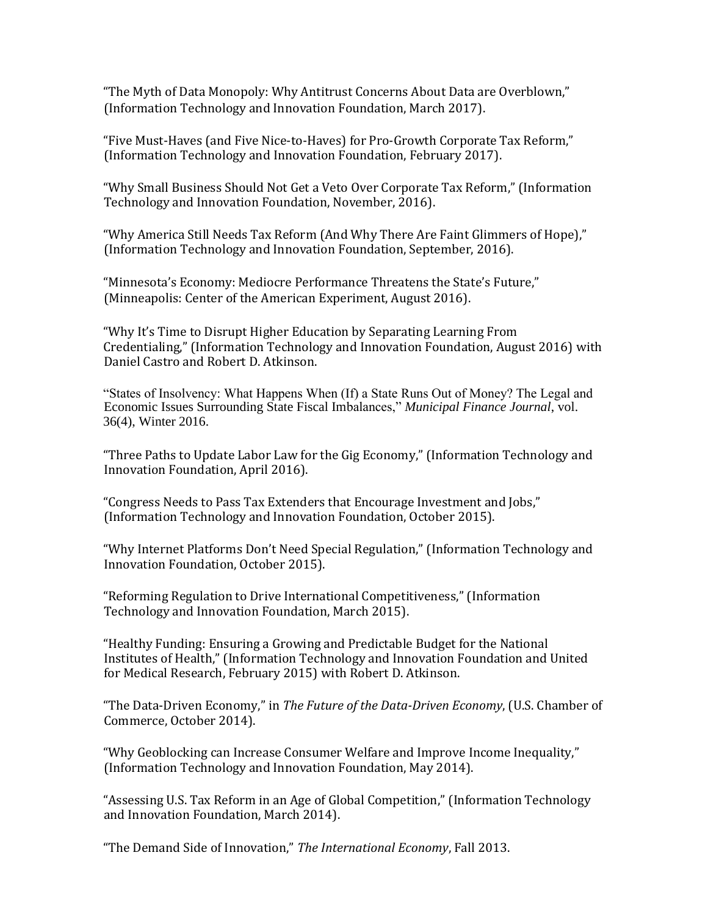["The Myth of Data Monopoly: Why Antitrust Concerns About Data are Overblown,"](http://www.kennedyresearchllc.com/wp-content/uploads/2012/11/The-Myth-of-Data-Monopoly.pdf)  [\(Information Technology and Innovation Foundation, March 2017\).](http://www.kennedyresearchllc.com/wp-content/uploads/2012/11/The-Myth-of-Data-Monopoly.pdf)

["Five](http://www.kennedyresearchllc.com/wp-content/uploads/2012/11/Must-Haves-for-Tax-Reform.pdf) [Must-Haves \(and Five Nice-to-Haves\) for Pro-](http://www.kennedyresearchllc.com/wp-content/uploads/2012/11/Must-Haves-for-Tax-Reform.pdf)[Growth Corporate Tax Reform,"](http://www.kennedyresearchllc.com/wp-content/uploads/2012/11/Must-Haves-for-Tax-Reform.pdf)  (Information Technology [and Innovation Foundation, February 2017\).](http://www.kennedyresearchllc.com/wp-content/uploads/2012/11/Must-Haves-for-Tax-Reform.pdf)

"Why Small Business Should Not Get a Veto Over Corporate Tax Reform," (Information Technology and Innovation Foundation, November, 2016).

"Why America Still Needs Tax Reform (And Why There Are Faint Glimmers of Hope)," (Information Technology and Innovation Foundation, September, 2016).

"Minnesota's Economy: Mediocre Performance Threatens the State's Future," (Minneapolis: Center of the American Experiment, August 2016).

"Why It's Time to Disrupt Higher Education by Separating Learning From Credentialing," (Information Technology and Innovation Foundation, August 2016) with Daniel Castro and Robert D. Atkinson.

"States of Insolvency: What Happens When (If) a State Runs Out of Money? The Legal and Economic Issues Surrounding State Fiscal Imbalances," *Municipal Finance Journal*, vol. 36(4), Winter 2016.

"Three Paths to Update Labor Law for the Gig Economy," (Information Technology and Innovation Foundation, April 2016).

"Congress Needs to Pass Tax Extenders that Encourage Investment and Jobs," (Information Technology and Innovation Foundation, October 2015).

"Why Internet Platforms Don't Need Special Regulation," (Information Technology and Innovation Foundation, October 2015).

"Reforming Regulation to Drive International Competitiveness," (Information Technology and Innovation Foundation, March 2015).

"Healthy Funding: Ensuring a Growing and Predictable Budget for the National Institutes of Health," (Information Technology and Innovation Foundation and United for Medical Research, February 2015) with Robert D. Atkinson.

"The Data-Driven Economy," in *The Future of the Data-Driven Economy*, (U.S. Chamber of Commerce, October 2014).

"Why Geoblocking can Increase Consumer Welfare and Improve Income Inequality," (Information Technology and Innovation Foundation, May 2014).

"Assessing U.S. Tax Reform in an Age of Global Competition," (Information Technology and Innovation Foundation, March 2014).

"The Demand Side of Innovation," *The International Economy*, Fall 2013.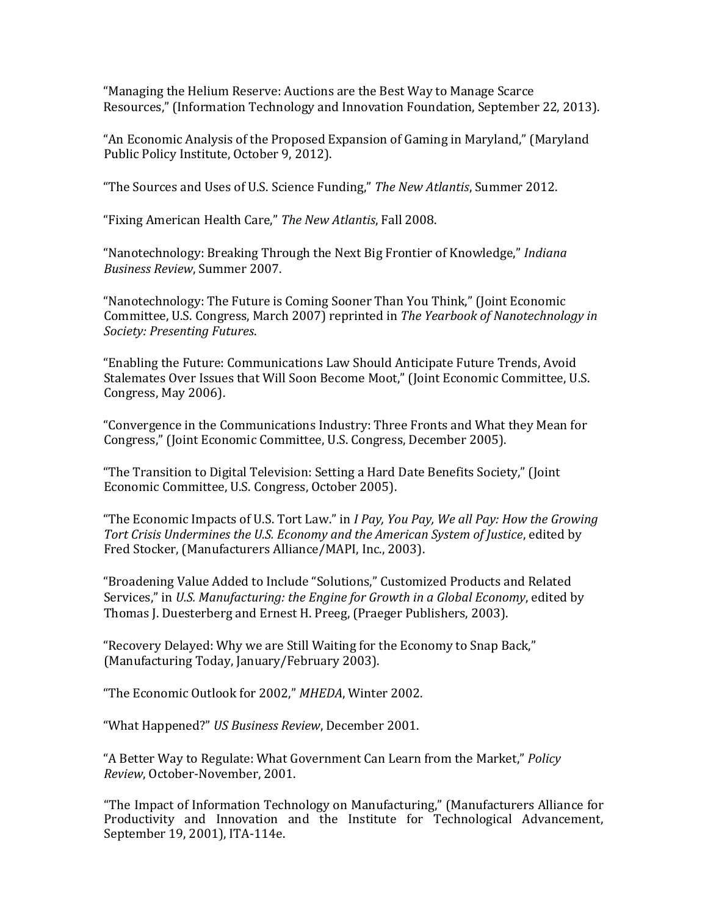"Managing the Helium Reserve: Auctions are the Best Way to Manage Scarce Resources," (Information Technology and Innovation Foundation, September 22, 2013).

"An Economic Analysis of the Proposed Expansion of Gaming in Maryland," (Maryland Public Policy Institute, October 9, 2012).

"The Sources and Uses of U.S. Science Funding," *The New Atlantis*, Summer 2012.

"Fixing American Health Care," *The New Atlantis*, Fall 2008.

"Nanotechnology: Breaking Through the Next Big Frontier of Knowledge," *Indiana Business Review*, Summer 2007.

"Nanotechnology: The Future is Coming Sooner Than You Think," (Joint Economic Committee, U.S. Congress, March 2007) reprinted in *The Yearbook of Nanotechnology in Society: Presenting Futures*.

"Enabling the Future: Communications Law Should Anticipate Future Trends, Avoid Stalemates Over Issues that Will Soon Become Moot," (Joint Economic Committee, U.S. Congress, May 2006).

"Convergence in the Communications Industry: Three Fronts and What they Mean for Congress," (Joint Economic Committee, U.S. Congress, December 2005).

"The Transition to Digital Television: Setting a Hard Date Benefits Society," (Joint Economic Committee, U.S. Congress, October 2005).

"The Economic Impacts of U.S. Tort Law." in *I Pay, You Pay, We all Pay: How the Growing Tort Crisis Undermines the U.S. Economy and the American System of Justice*, edited by Fred Stocker, (Manufacturers Alliance/MAPI, Inc., 2003).

"Broadening Value Added to Include "Solutions," Customized Products and Related Services," in *U.S. Manufacturing: the Engine for Growth in a Global Economy*, edited by Thomas J. Duesterberg and Ernest H. Preeg, (Praeger Publishers, 2003).

"Recovery Delayed: Why we are Still Waiting for the Economy to Snap Back," (Manufacturing Today, January/February 2003).

"The Economic Outlook for 2002," *MHEDA*, Winter 2002.

"What Happened?" *US Business Review*, December 2001.

"A Better Way to Regulate: What Government Can Learn from the Market," *Policy Review*, October-November, 2001.

"The Impact of Information Technology on Manufacturing," (Manufacturers Alliance for Productivity and Innovation and the Institute for Technological Advancement, September 19, 2001), ITA-114e.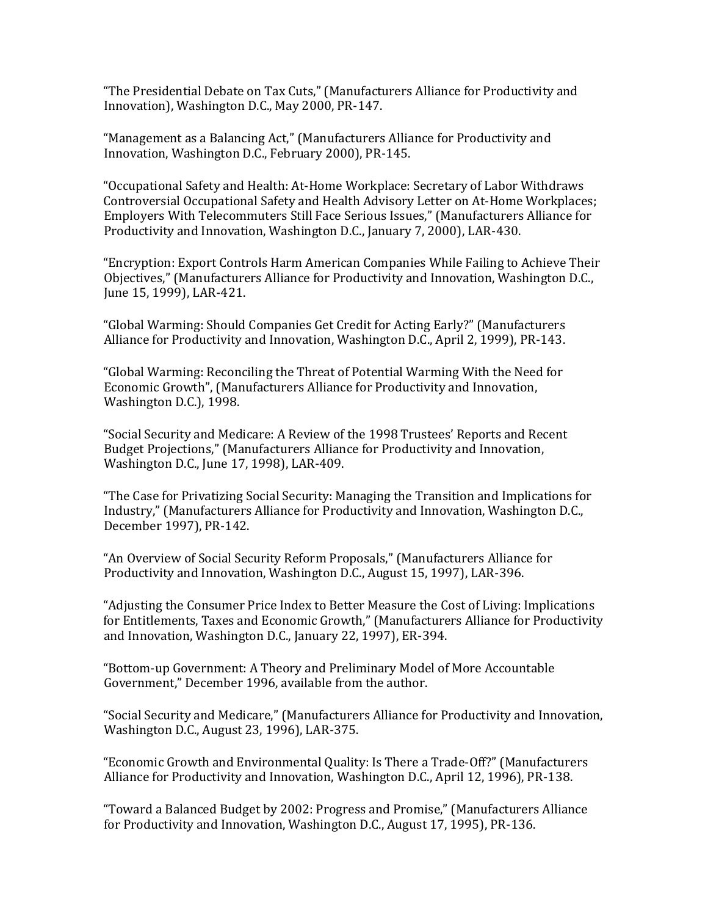"The Presidential Debate on Tax Cuts," (Manufacturers Alliance for Productivity and Innovation), Washington D.C., May 2000, PR-147.

"Management as a Balancing Act," (Manufacturers Alliance for Productivity and Innovation, Washington D.C., February 2000), PR-145.

"Occupational Safety and Health: At-Home Workplace: Secretary of Labor Withdraws Controversial Occupational Safety and Health Advisory Letter on At-Home Workplaces; Employers With Telecommuters Still Face Serious Issues," (Manufacturers Alliance for Productivity and Innovation, Washington D.C., January 7, 2000), LAR-430.

"Encryption: Export Controls Harm American Companies While Failing to Achieve Their Objectives," (Manufacturers Alliance for Productivity and Innovation, Washington D.C., June 15, 1999), LAR-421.

"Global Warming: Should Companies Get Credit for Acting Early?" (Manufacturers Alliance for Productivity and Innovation, Washington D.C., April 2, 1999), PR-143.

"Global Warming: Reconciling the Threat of Potential Warming With the Need for Economic Growth", (Manufacturers Alliance for Productivity and Innovation, Washington D.C.), 1998.

"Social Security and Medicare: A Review of the 1998 Trustees' Reports and Recent Budget Projections," (Manufacturers Alliance for Productivity and Innovation, Washington D.C., June 17, 1998), LAR-409.

"The Case for Privatizing Social Security: Managing the Transition and Implications for Industry," (Manufacturers Alliance for Productivity and Innovation, Washington D.C., December 1997), PR-142.

"An Overview of Social Security Reform Proposals," (Manufacturers Alliance for Productivity and Innovation, Washington D.C., August 15, 1997), LAR-396.

"Adjusting the Consumer Price Index to Better Measure the Cost of Living: Implications for Entitlements, Taxes and Economic Growth," (Manufacturers Alliance for Productivity and Innovation, Washington D.C., January 22, 1997), ER-394.

"Bottom-up Government: A Theory and Preliminary Model of More Accountable Government," December 1996, available from the author.

"Social Security and Medicare," (Manufacturers Alliance for Productivity and Innovation, Washington D.C., August 23, 1996), LAR-375.

"Economic Growth and Environmental Quality: Is There a Trade-Off?" (Manufacturers Alliance for Productivity and Innovation, Washington D.C., April 12, 1996), PR-138.

"Toward a Balanced Budget by 2002: Progress and Promise," (Manufacturers Alliance for Productivity and Innovation, Washington D.C., August 17, 1995), PR-136.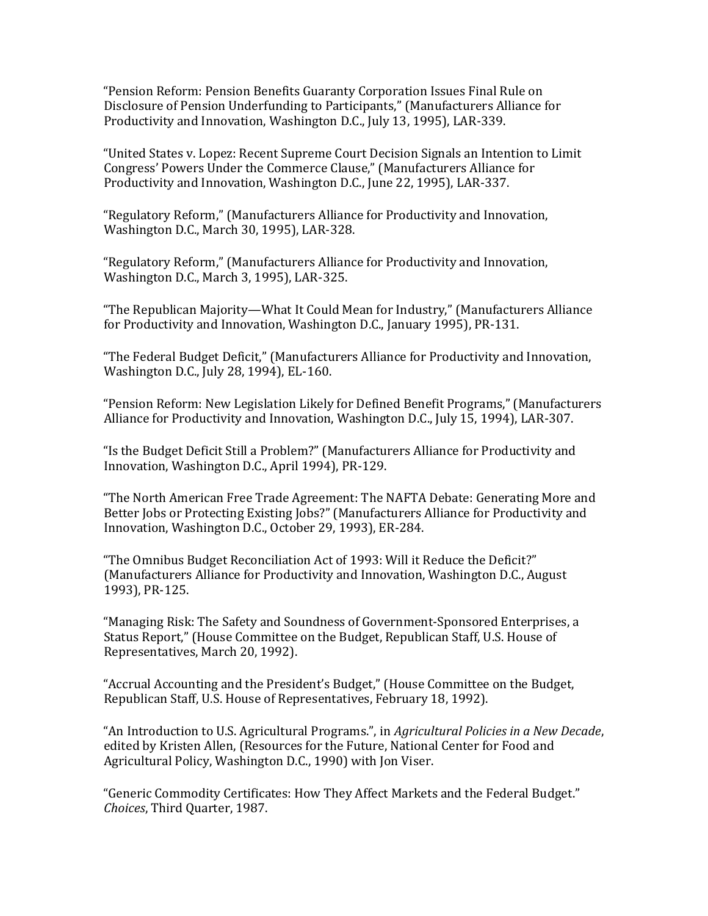"Pension Reform: Pension Benefits Guaranty Corporation Issues Final Rule on Disclosure of Pension Underfunding to Participants," (Manufacturers Alliance for Productivity and Innovation, Washington D.C., July 13, 1995), LAR-339.

"United States v. Lopez: Recent Supreme Court Decision Signals an Intention to Limit Congress' Powers Under the Commerce Clause," (Manufacturers Alliance for Productivity and Innovation, Washington D.C., June 22, 1995), LAR-337.

"Regulatory Reform," (Manufacturers Alliance for Productivity and Innovation, Washington D.C., March 30, 1995), LAR-328.

"Regulatory Reform," (Manufacturers Alliance for Productivity and Innovation, Washington D.C., March 3, 1995), LAR-325.

"The Republican Majority—What It Could Mean for Industry," (Manufacturers Alliance for Productivity and Innovation, Washington D.C., January 1995), PR-131.

"The Federal Budget Deficit," (Manufacturers Alliance for Productivity and Innovation, Washington D.C., July 28, 1994), EL-160.

"Pension Reform: New Legislation Likely for Defined Benefit Programs," (Manufacturers Alliance for Productivity and Innovation, Washington D.C., July 15, 1994), LAR-307.

"Is the Budget Deficit Still a Problem?" (Manufacturers Alliance for Productivity and Innovation, Washington D.C., April 1994), PR-129.

"The North American Free Trade Agreement: The NAFTA Debate: Generating More and Better Jobs or Protecting Existing Jobs?" (Manufacturers Alliance for Productivity and Innovation, Washington D.C., October 29, 1993), ER-284.

"The Omnibus Budget Reconciliation Act of 1993: Will it Reduce the Deficit?" (Manufacturers Alliance for Productivity and Innovation, Washington D.C., August 1993), PR-125.

"Managing Risk: The Safety and Soundness of Government-Sponsored Enterprises, a Status Report," (House Committee on the Budget, Republican Staff, U.S. House of Representatives, March 20, 1992).

"Accrual Accounting and the President's Budget," (House Committee on the Budget, Republican Staff, U.S. House of Representatives, February 18, 1992).

"An Introduction to U.S. Agricultural Programs.", in *Agricultural Policies in a New Decade*, edited by Kristen Allen, (Resources for the Future, National Center for Food and Agricultural Policy, Washington D.C., 1990) with Jon Viser.

"Generic Commodity Certificates: How They Affect Markets and the Federal Budget." *Choices*, Third Quarter, 1987.